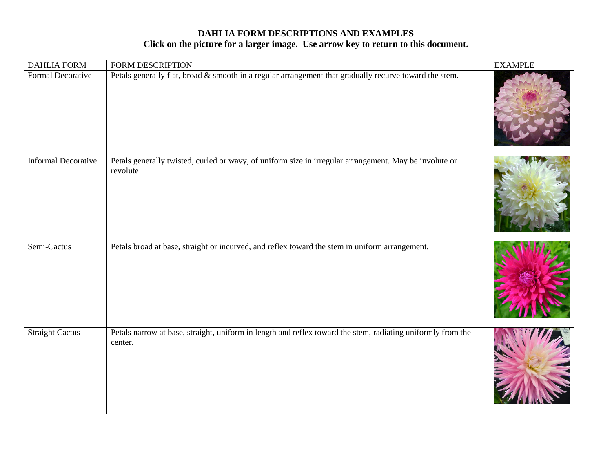| <b>DAHLIA FORM</b>         | <b>FORM DESCRIPTION</b>                                                                                                | <b>EXAMPLE</b> |
|----------------------------|------------------------------------------------------------------------------------------------------------------------|----------------|
| Formal Decorative          | Petals generally flat, broad & smooth in a regular arrangement that gradually recurve toward the stem.                 |                |
| <b>Informal Decorative</b> | Petals generally twisted, curled or wavy, of uniform size in irregular arrangement. May be involute or<br>revolute     |                |
| Semi-Cactus                | Petals broad at base, straight or incurved, and reflex toward the stem in uniform arrangement.                         |                |
| <b>Straight Cactus</b>     | Petals narrow at base, straight, uniform in length and reflex toward the stem, radiating uniformly from the<br>center. |                |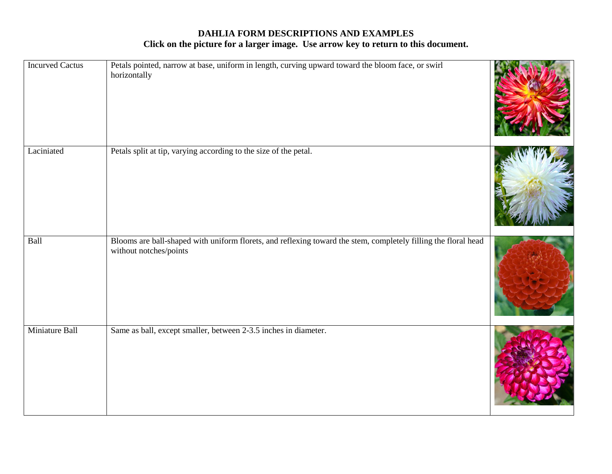| <b>Incurved Cactus</b> | Petals pointed, narrow at base, uniform in length, curving upward toward the bloom face, or swirl<br>horizontally                        |  |
|------------------------|------------------------------------------------------------------------------------------------------------------------------------------|--|
| Laciniated             | Petals split at tip, varying according to the size of the petal.                                                                         |  |
| Ball                   | Blooms are ball-shaped with uniform florets, and reflexing toward the stem, completely filling the floral head<br>without notches/points |  |
| Miniature Ball         | Same as ball, except smaller, between 2-3.5 inches in diameter.                                                                          |  |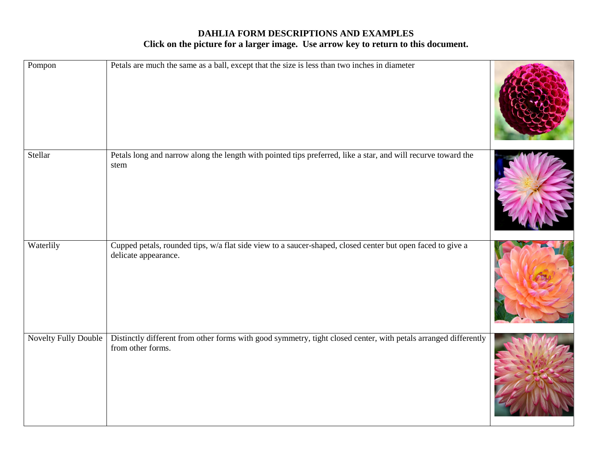| Pompon               | Petals are much the same as a ball, except that the size is less than two inches in diameter                                         |  |
|----------------------|--------------------------------------------------------------------------------------------------------------------------------------|--|
| Stellar              | Petals long and narrow along the length with pointed tips preferred, like a star, and will recurve toward the<br>stem                |  |
| Waterlily            | Cupped petals, rounded tips, w/a flat side view to a saucer-shaped, closed center but open faced to give a<br>delicate appearance.   |  |
| Novelty Fully Double | Distinctly different from other forms with good symmetry, tight closed center, with petals arranged differently<br>from other forms. |  |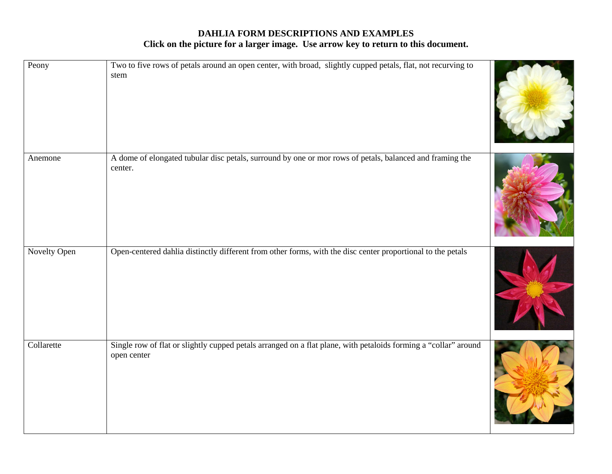| Peony        | Two to five rows of petals around an open center, with broad, slightly cupped petals, flat, not recurving to<br>stem           |  |
|--------------|--------------------------------------------------------------------------------------------------------------------------------|--|
| Anemone      | A dome of elongated tubular disc petals, surround by one or mor rows of petals, balanced and framing the<br>center.            |  |
| Novelty Open | Open-centered dahlia distinctly different from other forms, with the disc center proportional to the petals                    |  |
| Collarette   | Single row of flat or slightly cupped petals arranged on a flat plane, with petaloids forming a "collar" around<br>open center |  |